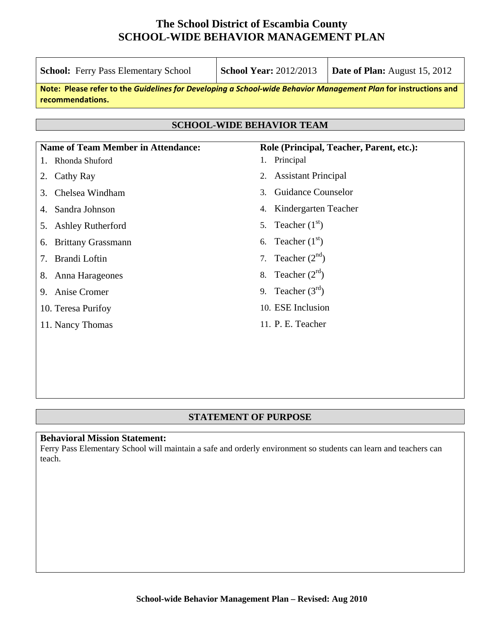| <b>School:</b> Ferry Pass Elementary School                                                                                         | <b>School Year: 2012/2013</b>            | <b>Date of Plan:</b> August 15, 2012 |  |  |  |  |  |
|-------------------------------------------------------------------------------------------------------------------------------------|------------------------------------------|--------------------------------------|--|--|--|--|--|
| Note: Please refer to the Guidelines for Developing a School-wide Behavior Management Plan for instructions and<br>recommendations. |                                          |                                      |  |  |  |  |  |
| <b>SCHOOL-WIDE BEHAVIOR TEAM</b>                                                                                                    |                                          |                                      |  |  |  |  |  |
|                                                                                                                                     |                                          |                                      |  |  |  |  |  |
| <b>Name of Team Member in Attendance:</b>                                                                                           | Role (Principal, Teacher, Parent, etc.): |                                      |  |  |  |  |  |
| Rhonda Shuford                                                                                                                      | 1. Principal                             |                                      |  |  |  |  |  |
| Cathy Ray<br>2.                                                                                                                     | <b>Assistant Principal</b><br>2.         |                                      |  |  |  |  |  |
| Chelsea Windham<br>3.                                                                                                               | <b>Guidance Counselor</b><br>3.          |                                      |  |  |  |  |  |
| Sandra Johnson                                                                                                                      | Kindergarten Teacher<br>4.               |                                      |  |  |  |  |  |
| <b>Ashley Rutherford</b><br>5.                                                                                                      | Teacher $(1st)$<br>5.                    |                                      |  |  |  |  |  |
| <b>Brittany Grassmann</b><br>6.                                                                                                     | Teacher $(1st)$<br>6.                    |                                      |  |  |  |  |  |
| Brandi Loftin<br>7.                                                                                                                 | Teacher $(2nd)$<br>7.                    |                                      |  |  |  |  |  |
| Anna Harageones<br>8.                                                                                                               | Teacher $(2^{rd})$<br>8.                 |                                      |  |  |  |  |  |
| Anise Cromer<br>9.                                                                                                                  | Teacher $(3^{rd})$<br>9.                 |                                      |  |  |  |  |  |
| 10. Teresa Purifoy                                                                                                                  | 10. ESE Inclusion                        |                                      |  |  |  |  |  |
| 11. Nancy Thomas                                                                                                                    | 11. P. E. Teacher                        |                                      |  |  |  |  |  |
|                                                                                                                                     |                                          |                                      |  |  |  |  |  |
|                                                                                                                                     |                                          |                                      |  |  |  |  |  |

#### **STATEMENT OF PURPOSE**

#### **Behavioral Mission Statement:**

Ferry Pass Elementary School will maintain a safe and orderly environment so students can learn and teachers can teach.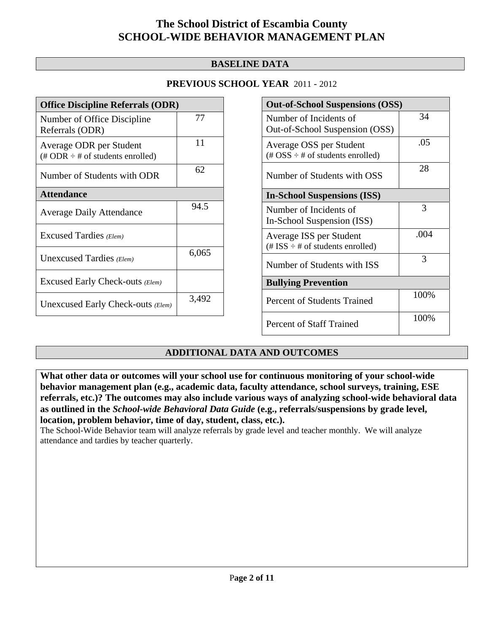### **BASELINE DATA**

### **PREVIOUS SCHOOL YEAR** 2011 - 2012

| <b>Office Discipline Referrals (ODR)</b>                                   |       |  |  |
|----------------------------------------------------------------------------|-------|--|--|
| Number of Office Discipline<br>Referrals (ODR)                             | 77    |  |  |
| Average ODR per Student<br>$(\# ODR \div \# \text{ of students enrolled})$ | 11    |  |  |
| Number of Students with ODR                                                | 62    |  |  |
| <b>Attendance</b>                                                          |       |  |  |
| <b>Average Daily Attendance</b>                                            | 94.5  |  |  |
| Excused Tardies (Elem)                                                     |       |  |  |
| Unexcused Tardies (Elem)                                                   | 6,065 |  |  |
| Excused Early Check-outs (Elem)                                            |       |  |  |
| Unexcused Early Check-outs (Elem)                                          | 3,492 |  |  |

| <b>Out-of-School Suspensions (OSS)</b>                                                          |      |  |  |  |
|-------------------------------------------------------------------------------------------------|------|--|--|--|
| Number of Incidents of<br>Out-of-School Suspension (OSS)                                        | 34   |  |  |  |
| Average OSS per Student<br>$(\text{\#} \text{OSS} \div \text{\#} \text{ of students enrolled})$ | .05  |  |  |  |
| Number of Students with OSS                                                                     | 28   |  |  |  |
| <b>In-School Suspensions (ISS)</b>                                                              |      |  |  |  |
| Number of Incidents of<br>In-School Suspension (ISS)                                            | 3    |  |  |  |
| Average ISS per Student<br>$(\text{\# ISS} \div \text{\# of students enrolled})$                | .004 |  |  |  |
| Number of Students with ISS                                                                     | 3    |  |  |  |
| <b>Bullying Prevention</b>                                                                      |      |  |  |  |
| <b>Percent of Students Trained</b>                                                              | 100% |  |  |  |
| <b>Percent of Staff Trained</b>                                                                 | 100% |  |  |  |

### **ADDITIONAL DATA AND OUTCOMES**

**What other data or outcomes will your school use for continuous monitoring of your school-wide behavior management plan (e.g., academic data, faculty attendance, school surveys, training, ESE referrals, etc.)? The outcomes may also include various ways of analyzing school-wide behavioral data as outlined in the** *School-wide Behavioral Data Guide* **(e.g., referrals/suspensions by grade level, location, problem behavior, time of day, student, class, etc.).**

The School-Wide Behavior team will analyze referrals by grade level and teacher monthly. We will analyze attendance and tardies by teacher quarterly.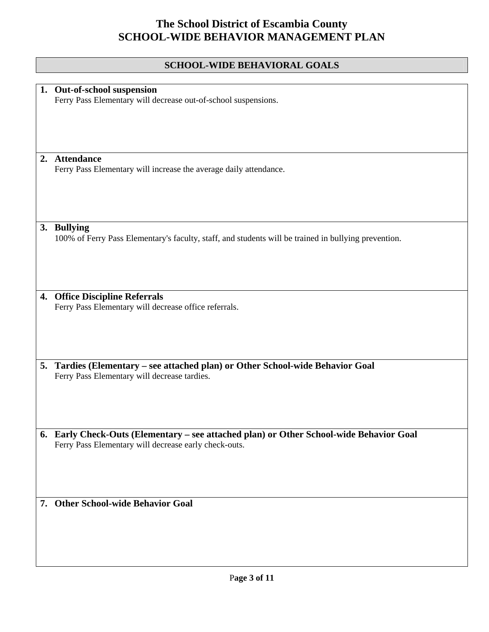### **SCHOOL-WIDE BEHAVIORAL GOALS**

|    | 1. Out-of-school suspension                                                                          |  |  |
|----|------------------------------------------------------------------------------------------------------|--|--|
|    | Ferry Pass Elementary will decrease out-of-school suspensions.                                       |  |  |
|    |                                                                                                      |  |  |
|    |                                                                                                      |  |  |
|    |                                                                                                      |  |  |
|    |                                                                                                      |  |  |
|    |                                                                                                      |  |  |
|    |                                                                                                      |  |  |
|    | 2. Attendance                                                                                        |  |  |
|    | Ferry Pass Elementary will increase the average daily attendance.                                    |  |  |
|    |                                                                                                      |  |  |
|    |                                                                                                      |  |  |
|    |                                                                                                      |  |  |
|    |                                                                                                      |  |  |
|    |                                                                                                      |  |  |
|    | 3. Bullying                                                                                          |  |  |
|    | 100% of Ferry Pass Elementary's faculty, staff, and students will be trained in bullying prevention. |  |  |
|    |                                                                                                      |  |  |
|    |                                                                                                      |  |  |
|    |                                                                                                      |  |  |
|    |                                                                                                      |  |  |
|    |                                                                                                      |  |  |
|    |                                                                                                      |  |  |
|    | 4. Office Discipline Referrals                                                                       |  |  |
|    | Ferry Pass Elementary will decrease office referrals.                                                |  |  |
|    |                                                                                                      |  |  |
|    |                                                                                                      |  |  |
|    |                                                                                                      |  |  |
|    |                                                                                                      |  |  |
|    |                                                                                                      |  |  |
| 5. | Tardies (Elementary - see attached plan) or Other School-wide Behavior Goal                          |  |  |
|    | Ferry Pass Elementary will decrease tardies.                                                         |  |  |
|    |                                                                                                      |  |  |
|    |                                                                                                      |  |  |
|    |                                                                                                      |  |  |
|    |                                                                                                      |  |  |
|    |                                                                                                      |  |  |
|    | 6. Early Check-Outs (Elementary - see attached plan) or Other School-wide Behavior Goal              |  |  |
|    | Ferry Pass Elementary will decrease early check-outs.                                                |  |  |
|    |                                                                                                      |  |  |
|    |                                                                                                      |  |  |
|    |                                                                                                      |  |  |
|    |                                                                                                      |  |  |
|    |                                                                                                      |  |  |
|    |                                                                                                      |  |  |
|    | 7. Other School-wide Behavior Goal                                                                   |  |  |
|    |                                                                                                      |  |  |
|    |                                                                                                      |  |  |
|    |                                                                                                      |  |  |
|    |                                                                                                      |  |  |
|    |                                                                                                      |  |  |
|    |                                                                                                      |  |  |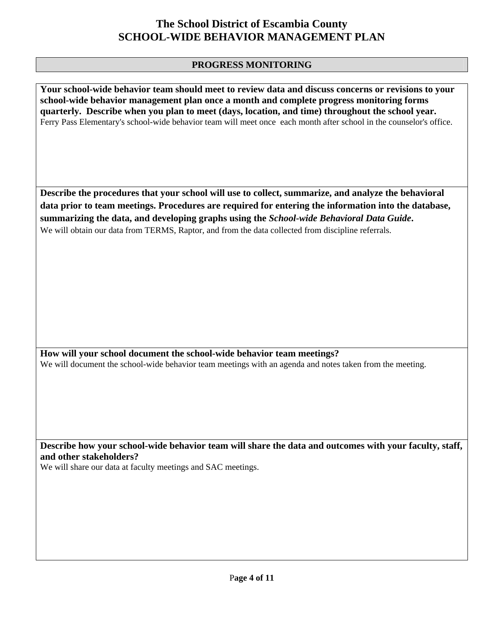#### **PROGRESS MONITORING**

**Your school-wide behavior team should meet to review data and discuss concerns or revisions to your school-wide behavior management plan once a month and complete progress monitoring forms quarterly. Describe when you plan to meet (days, location, and time) throughout the school year.**  Ferry Pass Elementary's school-wide behavior team will meet once each month after school in the counselor's office.

**Describe the procedures that your school will use to collect, summarize, and analyze the behavioral data prior to team meetings. Procedures are required for entering the information into the database, summarizing the data, and developing graphs using the** *School-wide Behavioral Data Guide***.**  We will obtain our data from TERMS, Raptor, and from the data collected from discipline referrals.

**How will your school document the school-wide behavior team meetings?** We will document the school-wide behavior team meetings with an agenda and notes taken from the meeting.

**Describe how your school-wide behavior team will share the data and outcomes with your faculty, staff, and other stakeholders?** 

We will share our data at faculty meetings and SAC meetings.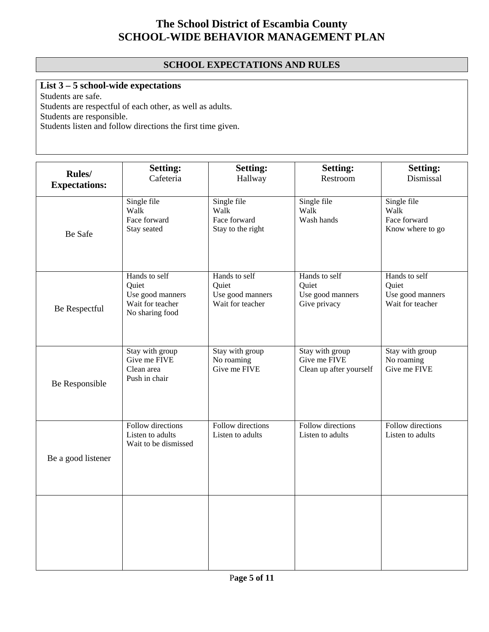### **SCHOOL EXPECTATIONS AND RULES**

### **List 3 – 5 school-wide expectations**

Students are safe.

Students are respectful of each other, as well as adults.

Students are responsible.

Students listen and follow directions the first time given.

| Rules/<br><b>Expectations:</b> | <b>Setting:</b><br>Cafeteria                                                      | <b>Setting:</b><br>Hallway                                     | <b>Setting:</b><br>Restroom                                | <b>Setting:</b><br>Dismissal                                   |
|--------------------------------|-----------------------------------------------------------------------------------|----------------------------------------------------------------|------------------------------------------------------------|----------------------------------------------------------------|
| Be Safe                        | Single file<br>Walk<br>Face forward<br>Stay seated                                | Single file<br>Walk<br>Face forward<br>Stay to the right       | Single file<br>Walk<br>Wash hands                          | Single file<br>Walk<br>Face forward<br>Know where to go        |
| Be Respectful                  | Hands to self<br>Quiet<br>Use good manners<br>Wait for teacher<br>No sharing food | Hands to self<br>Quiet<br>Use good manners<br>Wait for teacher | Hands to self<br>Quiet<br>Use good manners<br>Give privacy | Hands to self<br>Quiet<br>Use good manners<br>Wait for teacher |
| Be Responsible                 | Stay with group<br>Give me FIVE<br>Clean area<br>Push in chair                    | Stay with group<br>No roaming<br>Give me FIVE                  | Stay with group<br>Give me FIVE<br>Clean up after yourself | Stay with group<br>No roaming<br>Give me FIVE                  |
| Be a good listener             | Follow directions<br>Listen to adults<br>Wait to be dismissed                     | Follow directions<br>Listen to adults                          | Follow directions<br>Listen to adults                      | Follow directions<br>Listen to adults                          |
|                                |                                                                                   |                                                                |                                                            |                                                                |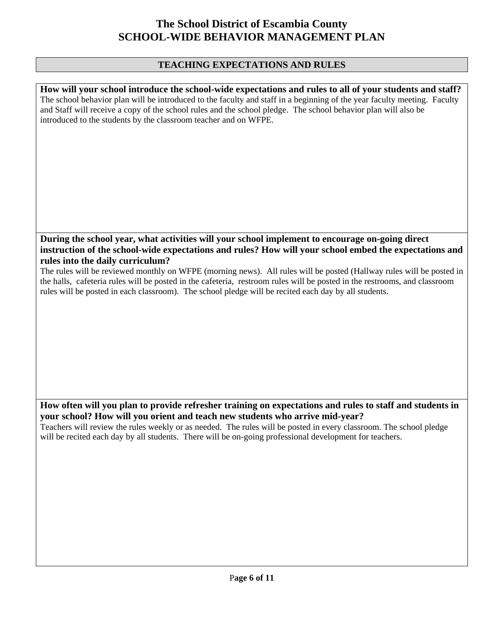#### **TEACHING EXPECTATIONS AND RULES**

**How will your school introduce the school-wide expectations and rules to all of your students and staff?**  The school behavior plan will be introduced to the faculty and staff in a beginning of the year faculty meeting. Faculty and Staff will receive a copy of the school rules and the school pledge. The school behavior plan will also be introduced to the students by the classroom teacher and on WFPE.

### **During the school year, what activities will your school implement to encourage on-going direct instruction of the school-wide expectations and rules? How will your school embed the expectations and rules into the daily curriculum?**

The rules will be reviewed monthly on WFPE (morning news). All rules will be posted (Hallway rules will be posted in the halls, cafeteria rules will be posted in the cafeteria, restroom rules will be posted in the restrooms, and classroom rules will be posted in each classroom). The school pledge will be recited each day by all students.

### **How often will you plan to provide refresher training on expectations and rules to staff and students in your school? How will you orient and teach new students who arrive mid-year?**

Teachers will review the rules weekly or as needed. The rules will be posted in every classroom. The school pledge will be recited each day by all students. There will be on-going professional development for teachers.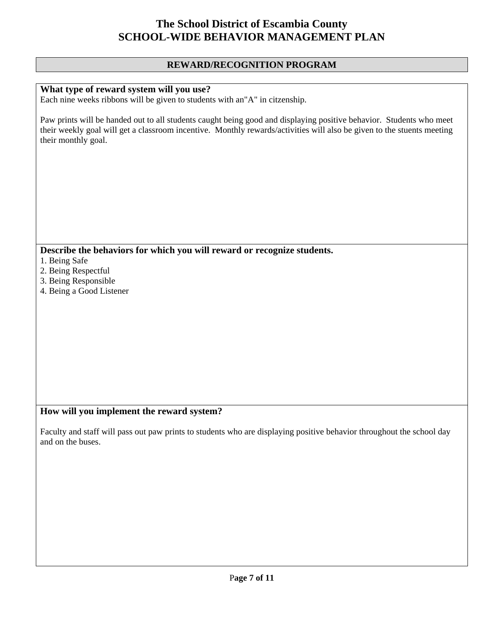#### **REWARD/RECOGNITION PROGRAM**

#### **What type of reward system will you use?**

Each nine weeks ribbons will be given to students with an"A" in citzenship.

Paw prints will be handed out to all students caught being good and displaying positive behavior. Students who meet their weekly goal will get a classroom incentive. Monthly rewards/activities will also be given to the stuents meeting their monthly goal.

**Describe the behaviors for which you will reward or recognize students.** 

- 1. Being Safe
- 2. Being Respectful
- 3. Being Responsible
- 4. Being a Good Listener

#### **How will you implement the reward system?**

Faculty and staff will pass out paw prints to students who are displaying positive behavior throughout the school day and on the buses.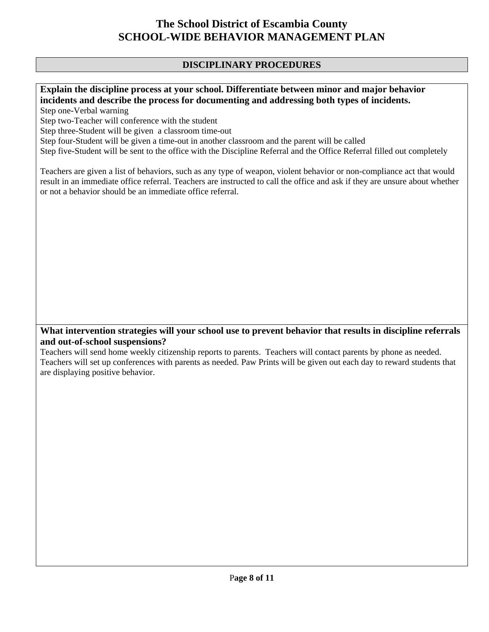### **DISCIPLINARY PROCEDURES**

### **Explain the discipline process at your school. Differentiate between minor and major behavior incidents and describe the process for documenting and addressing both types of incidents.**

Step one-Verbal warning

Step two-Teacher will conference with the student

Step three-Student will be given a classroom time-out

Step four-Student will be given a time-out in another classroom and the parent will be called

Step five-Student will be sent to the office with the Discipline Referral and the Office Referral filled out completely

Teachers are given a list of behaviors, such as any type of weapon, violent behavior or non-compliance act that would result in an immediate office referral. Teachers are instructed to call the office and ask if they are unsure about whether or not a behavior should be an immediate office referral.

#### **What intervention strategies will your school use to prevent behavior that results in discipline referrals and out-of-school suspensions?**

Teachers will send home weekly citizenship reports to parents. Teachers will contact parents by phone as needed. Teachers will set up conferences with parents as needed. Paw Prints will be given out each day to reward students that are displaying positive behavior.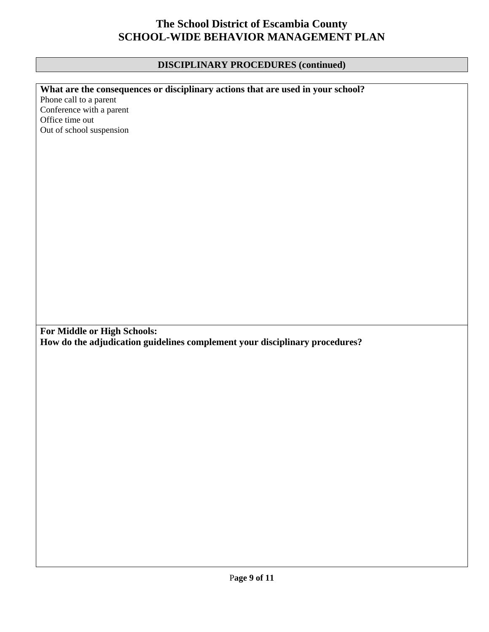### **DISCIPLINARY PROCEDURES (continued)**

### **What are the consequences or disciplinary actions that are used in your school?**

Phone call to a parent Conference with a parent Office time out Out of school suspension

**For Middle or High Schools: How do the adjudication guidelines complement your disciplinary procedures?**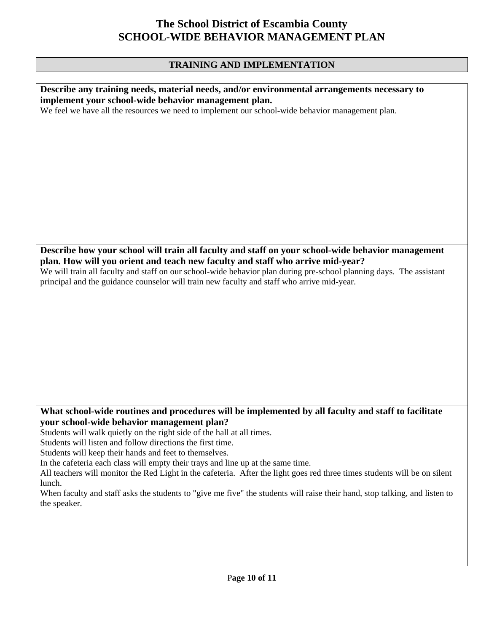### **TRAINING AND IMPLEMENTATION**

| Describe any training needs, material needs, and/or environmental arrangements necessary to                                |
|----------------------------------------------------------------------------------------------------------------------------|
| implement your school-wide behavior management plan.                                                                       |
| We feel we have all the resources we need to implement our school-wide behavior management plan.                           |
|                                                                                                                            |
|                                                                                                                            |
|                                                                                                                            |
|                                                                                                                            |
|                                                                                                                            |
|                                                                                                                            |
|                                                                                                                            |
|                                                                                                                            |
|                                                                                                                            |
|                                                                                                                            |
|                                                                                                                            |
|                                                                                                                            |
| Describe how your school will train all faculty and staff on your school-wide behavior management                          |
| plan. How will you orient and teach new faculty and staff who arrive mid-year?                                             |
| We will train all faculty and staff on our school-wide behavior plan during pre-school planning days. The assistant        |
| principal and the guidance counselor will train new faculty and staff who arrive mid-year.                                 |
|                                                                                                                            |
|                                                                                                                            |
|                                                                                                                            |
|                                                                                                                            |
|                                                                                                                            |
|                                                                                                                            |
|                                                                                                                            |
|                                                                                                                            |
|                                                                                                                            |
|                                                                                                                            |
|                                                                                                                            |
| What school-wide routines and procedures will be implemented by all faculty and staff to facilitate                        |
| your school-wide behavior management plan?                                                                                 |
| Students will walk quietly on the right side of the hall at all times.                                                     |
| Students will listen and follow directions the first time.                                                                 |
| Students will keep their hands and feet to themselves.                                                                     |
| In the cafeteria each class will empty their trays and line up at the same time.                                           |
| All teachers will monitor the Red Light in the cafeteria. After the light goes red three times students will be on silent  |
| lunch.                                                                                                                     |
| When faculty and staff asks the students to "give me five" the students will raise their hand, stop talking, and listen to |
| the speaker.                                                                                                               |
|                                                                                                                            |
|                                                                                                                            |
|                                                                                                                            |
|                                                                                                                            |
|                                                                                                                            |
|                                                                                                                            |